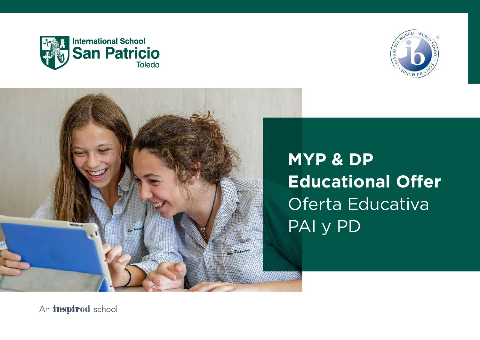





An inspired school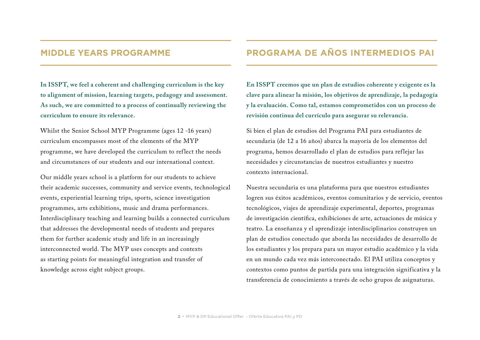#### **MIDDLE YEARS PROGRAMME**

**In ISSPT, we feel a coherent and challenging curriculum is the key to alignment of mission, learning targets, pedagogy and assessment. As such, we are committed to a process of continually reviewing the curriculum to ensure its relevance.**

Whilst the Senior School MYP Programme (ages 12 -16 years) curriculum encompasses most of the elements of the MYP programme, we have developed the curriculum to reflect the needs and circumstances of our students and our international context.

Our middle years school is a platform for our students to achieve their academic successes, community and service events, technological events, experiential learning trips, sports, science investigation programmes, arts exhibitions, music and drama performances. Interdisciplinary teaching and learning builds a connected curriculum that addresses the developmental needs of students and prepares them for further academic study and life in an increasingly interconnected world. The MYP uses concepts and contexts as starting points for meaningful integration and transfer of knowledge across eight subject groups.

## **PROGRAMA DE AÑOS INTERMEDIOS PAI**

**En ISSPT creemos que un plan de estudios coherente y exigente es la clave para alinear la misión, los objetivos de aprendizaje, la pedagogía y la evaluación. Como tal, estamos comprometidos con un proceso de revisión continua del currículo para asegurar su relevancia.**

Si bien el plan de estudios del Programa PAI para estudiantes de secundaria (de 12 a 16 años) abarca la mayoría de los elementos del programa, hemos desarrollado el plan de estudios para reflejar las necesidades y circunstancias de nuestros estudiantes y nuestro contexto internacional.

Nuestra secundaria es una plataforma para que nuestros estudiantes logren sus éxitos académicos, eventos comunitarios y de servicio, eventos tecnológicos, viajes de aprendizaje experimental, deportes, programas de investigación científica, exhibiciones de arte, actuaciones de música y teatro. La enseñanza y el aprendizaje interdisciplinarios construyen un plan de estudios conectado que aborda las necesidades de desarrollo de los estudiantes y los prepara para un mayor estudio académico y la vida en un mundo cada vez más interconectado. El PAI utiliza conceptos y contextos como puntos de partida para una integración significativa y la transferencia de conocimiento a través de ocho grupos de asignaturas.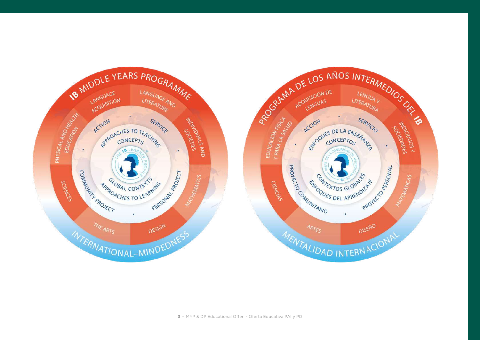

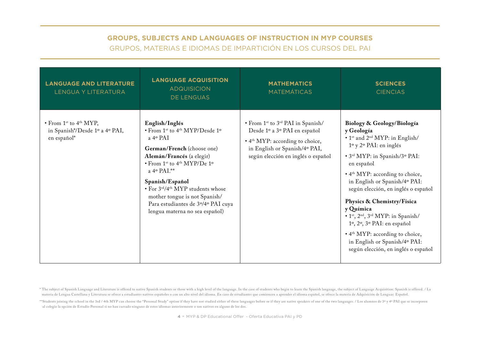#### **GROUPS, SUBJECTS AND LANGUAGES OF INSTRUCTION IN MYP COURSES**  GRUPOS, MATERIAS E IDIOMAS DE IMPARTICIÓN EN LOS CURSOS DEL PAI

| <b>LANGUAGE AND LITERATURE</b><br><b>LENGUA Y LITERATURA</b>                                            | <b>LANGUAGE ACQUISITION</b><br><b>ADQUISICION</b><br>DE LENGUAS                                                                                                                                                                                                                                                                                                                               | <b>MATHEMATICS</b><br><b>MATEMÁTICAS</b>                                                                                                                                                                        | <b>SCIENCES</b><br><b>CIENCIAS</b>                                                                                                                                                                                                                                                                                                                                                                                                                                                                                                                       |
|---------------------------------------------------------------------------------------------------------|-----------------------------------------------------------------------------------------------------------------------------------------------------------------------------------------------------------------------------------------------------------------------------------------------------------------------------------------------------------------------------------------------|-----------------------------------------------------------------------------------------------------------------------------------------------------------------------------------------------------------------|----------------------------------------------------------------------------------------------------------------------------------------------------------------------------------------------------------------------------------------------------------------------------------------------------------------------------------------------------------------------------------------------------------------------------------------------------------------------------------------------------------------------------------------------------------|
| $\bullet$ From 1 <sup>st</sup> to 4 <sup>th</sup> MYP,<br>in Spanish*/Desde 1º a 4º PAI,<br>en español* | English/Inglés<br>• From 1st to 4th MYP/Desde 1º<br>$a$ 4 <sup>o</sup> PAI<br>German/French (choose one)<br>Alemán/Francés (a elegir)<br>$\cdot$ From 1 <sup>st</sup> to 4 <sup>th</sup> MYP/De 1 <sup>o</sup><br>a 4º PAI.**<br>Spanish/Español<br>• For 3rd/4th MYP students whose<br>mother tongue is not Spanish/<br>Para estudiantes de 3º/4º PAI cuya<br>lengua materna no sea español) | • From 1 <sup>st</sup> to 3 <sup>rd</sup> PAI in Spanish/<br>Desde 1º a 3º PAI en español<br>• 4 <sup>th</sup> MYP: according to choice,<br>in English or Spanish/4° PAI,<br>según elección en inglés o español | Biology & Geology/Biología<br>y Geología<br>• 1 <sup>st</sup> and 2 <sup>nd</sup> MYP: in English/<br>$1^{\circ}$ y $2^{\circ}$ PAI: en inglés<br>• 3rd MYP: in Spanish/3° PAI:<br>en español<br>• 4 <sup>th</sup> MYP: according to choice,<br>in English or Spanish/4º PAI:<br>según elección, en inglés o español<br>Physics & Chemistry/Física<br>y Química<br>. 1st, 2nd, 3rd MYP: in Spanish/<br>1º, 2º, 3º PAI: en español<br>• 4 <sup>th</sup> MYP: according to choice,<br>in English or Spanish/4º PAI:<br>según elección, en inglés o español |

\* The subject of Spanish Language and Literature is offered to native Spanish students or those with a high level of the language. In the case of students who begin to learn the Spanish language, the subject of Language Ac materia de Lengua Castellana y Literatura se ofrece a estudiantes nativos españoles o con un alto nivel del idioma. En caso de estudiantes que comiencen a aprender el idioma español, se ofrece la materia de Adquisición de

\*\*Students joining the school in the 3rd / 4th MYP can choose the "Personal Study" option if they have not studied either of these languages before or if they are native speakers of one of the two languages. / Los alumnos al colegio la opción de Estudio Personal si no han cursado ninguno de estos idiomas anteriormente o son nativos en alguno de los dos.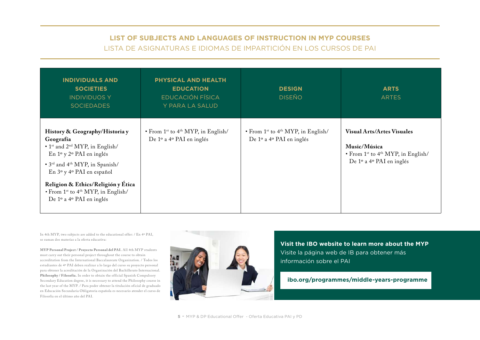## **LIST OF SUBJECTS AND LANGUAGES OF INSTRUCTION IN MYP COURSES**  LISTA DE ASIGNATURAS E IDIOMAS DE IMPARTICIÓN EN LOS CURSOS DE PAI

| <b>INDIVIDUALS AND</b><br><b>SOCIETIES</b><br><b>INDIVIDUOS Y</b><br><b>SOCIEDADES</b>                                                                                                                                                                                                                                                                                     | PHYSICAL AND HEALTH<br><b>EDUCATION</b><br><b>EDUCACIÓN FÍSICA</b><br>Y PARA LA SALUD  | <b>DESIGN</b><br><b>DISEÑO</b>                                                         | <b>ARTS</b><br><b>ARTES</b>                                                                                                                       |
|----------------------------------------------------------------------------------------------------------------------------------------------------------------------------------------------------------------------------------------------------------------------------------------------------------------------------------------------------------------------------|----------------------------------------------------------------------------------------|----------------------------------------------------------------------------------------|---------------------------------------------------------------------------------------------------------------------------------------------------|
| History & Geography/Historia y<br>Geografía<br>• 1 <sup>st</sup> and 2 <sup>nd</sup> MYP, in English/<br>En $1^{\circ}$ y $2^{\circ}$ PAI en inglés<br>• 3 <sup>rd</sup> and 4 <sup>th</sup> MYP, in Spanish/<br>En 3º y 4º PAI en español<br>Religion & Ethics/Religión y Ética<br>• From 1 <sup>st</sup> to 4 <sup>th</sup> MYP, in English/<br>De 1º a 4º PAI en inglés | • From 1 <sup>st</sup> to 4 <sup>th</sup> MYP, in English/<br>De 1º a 4º PAI en inglés | • From 1 <sup>st</sup> to 4 <sup>th</sup> MYP, in English/<br>De 1º a 4º PAI en inglés | <b>Visual Arts/Artes Visuales</b><br>Music/Música<br>$\cdot$ From 1 <sup>st</sup> to 4 <sup>th</sup> MYP, in English/<br>De 1º a 4º PAI en inglés |

In 4th MYP, two subjects are added to the educational offer: / En 4º PAI, se suman dos materias a la oferta educativa:

**M Y P Personal Project / Proyecto Personal del PAI.** All 4th MYP students must carry out their personal project throughout the course to obtain accreditation from the International Baccalaureate Organization. / Todos los estudiantes de 4º PAI deben realizar a lo largo del curso su proyecto personal para obtener la acreditación de la Organización del Bachillerato Internacional. **Philosophy / Filosofía.** In order to obtain the official Spanish Compulsory Secondary Education degree, it is necessary to attend the Philosophy course in the last year of the MYP. / Para poder obtener la titulación oficial de graduado en Educación Secundaria Obligatoria española es necesario atender el curso de Filosofía en el último año del PAI.



**Visit the IBO website to learn more about the MYP**  Visite la página web de IB para obtener más información sobre el PAI

#### **ibo.org/programmes/middle-years-programme**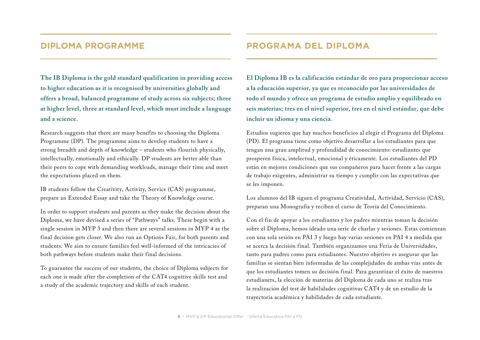## **DIPLOMA PROGRAMME**

**The IB Diploma is the gold standard qualification in providing access to higher education as it is recognised by universities globally and offers a broad, balanced programme of study across six subjects; three at higher level, three at standard level, which must include a language and a science.**

Research suggests that there are many benefits to choosing the Diploma Programme (DP). The programme aims to develop students to have a strong breadth and depth of knowledge – students who flourish physically, intellectually, emotionally and ethically. DP students are better able than their peers to cope with demanding workloads, manage their time and meet the expectations placed on them.

IB students follow the Creativity, Activity, Service (CAS) programme, prepare an Extended Essay and take the Theory of Knowledge course.

In order to support students and parents as they make the decision about the Diploma, we have devised a series of "Pathways" talks. These begin with a single session in MYP 3 and then there are several sessions in MYP 4 as the final decision gets closer. We also run an Options Fair, for both parents and students. We aim to ensure families feel well-informed of the intricacies of both pathways before students make their final decisions.

To guarantee the success of our students, the choice of Diploma subjects for each one is made after the completion of the CAT4 cognitive skills test and a study of the academic trajectory and skills of each student.

## **PROGRAMA DEL DIPLOMA**

**El Diploma IB es la calificación estándar de oro para proporcionar acceso a la educación superior, ya que es reconocido por las universidades de todo el mundo y ofrece un programa de estudio amplio y equilibrado en seis materias; tres en el nivel superior, tres en el nivel estándar, que debe incluir un idioma y una ciencia.**

Estudios sugieren que hay muchos beneficios al elegir el Programa del Diploma (PD). El programa tiene como objetivo desarrollar a los estudiantes para que tengan una gran amplitud y profundidad de conocimiento: estudiantes que prosperen física, intelectual, emocional y éticamente. Los estudiantes del PD están en mejores condiciones que sus compañeros para hacer frente a las cargas de trabajo exigentes, administrar su tiempo y cumplir con las expectativas que se les imponen.

Los alumnos del IB siguen el programa Creatividad, Actividad, Servicio (CAS), preparan una Monografía y reciben el curso de Teoría del Conocimiento.

Con el fin de apoyar a los estudiantes y los padres mientras toman la decisión sobre el Diploma, hemos ideado una serie de charlas y sesiones. Estas comienzan con una sola sesión en PAI 3 y luego hay varias sesiones en PAI 4 a medida que se acerca la decisión final. También organizamos una Feria de Universidades, tanto para padres como para estudiantes. Nuestro objetivo es asegurar que las familias se sientan bien informadas de las complejidades de ambas vías antes de que los estudiantes tomen su decisión final. Para garantizar el éxito de nuestros estudianets, la elección de materias del Diploma de cada uno se realiza tras la realización del test de habilidades cognitivas CAT4 y de un estudio de la trayectoria académica y habilidades de cada estudiante.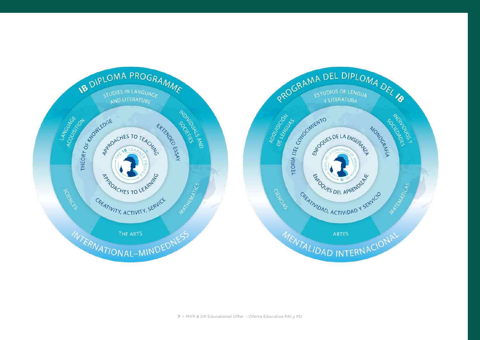

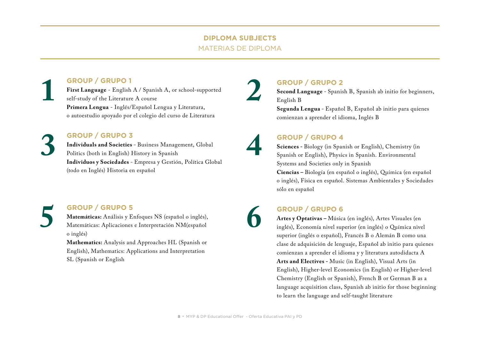#### **DIPLOMA SUBJECTS**  MATERIAS DE DIPLOMA

#### **GROUP / GRUPO 1**

**First Language** - English A / Spanish A, or school-supported self-study of the Literature A course **Primera Lengua** - Inglés/Español Lengua y Literatura, o autoestudio apoyado por el colegio del curso de Literatura **1 GROUP / GRUPO 1**<br> **1 GROUP / GRUPO 2**<br> **1 First Language** - English A / Spanish A, or school-supported<br> **1 1 GROUP / GRUPO 2**<br> **1 Second Language** - Spanis<br> **1 English B**<br> **1 English B**<br> **1 English B**<br>

#### **GROUP / GRUPO 3**

**Individuals and Societies** - Business Management, Global Politics (both in English) History in Spanish **Individuos y Sociedades** - Empresa y Gestión, Política Global (todo en Inglés) Historia en español **3 GROUP / GRUPO 3**<br> **11 Dividuals and Societies** - Business Management, Global<br>
Politics (both in English) History in Spanish<br> **11 Dividuos y Sociedades** - Empresa y Gestión, Política Global<br> **12 Sciences** - Biology (in

#### **GROUP / GRUPO 5**

**Matemáticas:** Análisis y Enfoques NS (español o inglés), Matemáticas: Aplicaciones e Interpretación NM(español o inglés) **5 GROUP / GRUPO 5**<br> **Matemáticas:** Análisis y Enfoques NS (español o inglés),<br>
Matemáticas: Aplicaciones e Interpretación NM(español<br>
o inglés), Economía nivel sur<br>
superior (inglés o español),

**Mathematics:** Analysis and Approaches HL (Spanish or English), Mathematics: Applications and Interpretation SL (Spanish or English

**Second Language** - Spanish B, Spanish ab initio for beginners, English B

**Segunda Lengua** - Español B, Español ab initio para quienes comienzan a aprender el idioma, Inglés B

# **4**

**6**

**2**

**Sciences -** Biology (in Spanish or English), Chemistry (in Spanish or English), Physics in Spanish. Environmental Systems and Societies only in Spanish

**Ciencias –** Biología (en español o inglés), Química (en español o inglés), Física en español. Sistemas Ambientales y Sociedades sólo en español

**Artes y Optativas –** Música (en inglés), Artes Visuales (en inglés), Economía nivel superior (en inglés) o Química nivel superior (inglés o español), Francés B o Alemán B como una clase de adquisición de lenguaje, Español ab initio para quienes comienzan a aprender el idioma y y literatura autodidacta A **Arts and Electives -** Music (in English), Visual Arts (in English), Higher-level Economics (in English) or Higher-level Chemistry (English or Spanish), French B or German B as a language acquisition class, Spanish ab initio for those beginning to learn the language and self-taught literature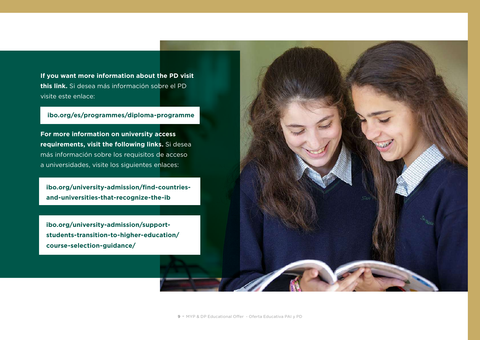**If you want more information about the PD visit this link.** Si desea más información sobre el PD visite este enlace:

#### **ibo.org/es/programmes/diploma-programme**

**For more information on university access requirements, visit the following links.** Si desea más información sobre los requisitos de acceso a universidades, visite los siguientes enlaces:

**ibo.org/university-admission/find-countriesand-universities-that-recognize-the-ib**

**ibo.org/university-admission/supportstudents-transition-to-higher-education/ course-selection-guidance/**